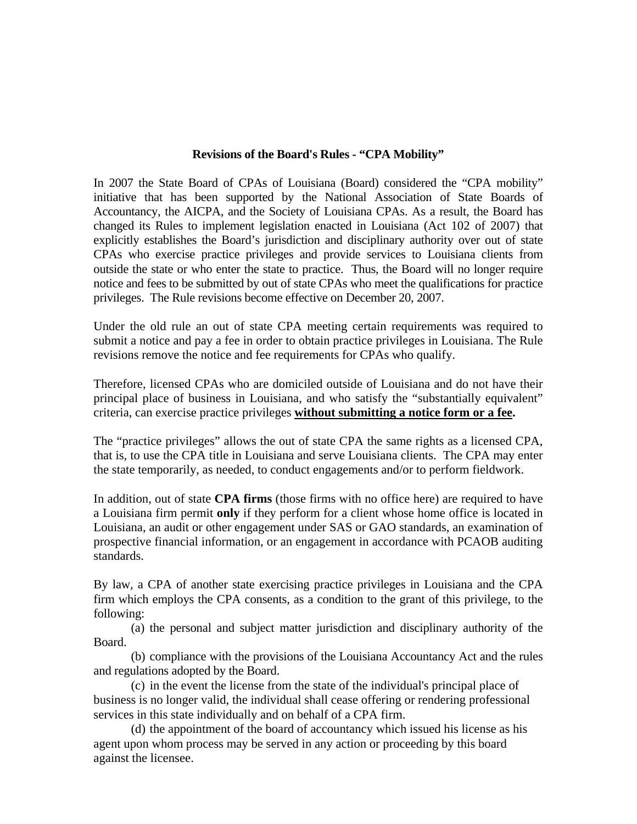### **Revisions of the Board's Rules - "CPA Mobility"**

In 2007 the State Board of CPAs of Louisiana (Board) considered the "CPA mobility" initiative that has been supported by the National Association of State Boards of Accountancy, the AICPA, and the Society of Louisiana CPAs. As a result, the Board has changed its Rules to implement legislation enacted in Louisiana (Act 102 of 2007) that explicitly establishes the Board's jurisdiction and disciplinary authority over out of state CPAs who exercise practice privileges and provide services to Louisiana clients from outside the state or who enter the state to practice. Thus, the Board will no longer require notice and fees to be submitted by out of state CPAs who meet the qualifications for practice privileges. The Rule revisions become effective on December 20, 2007.

Under the old rule an out of state CPA meeting certain requirements was required to submit a notice and pay a fee in order to obtain practice privileges in Louisiana. The Rule revisions remove the notice and fee requirements for CPAs who qualify.

Therefore, licensed CPAs who are domiciled outside of Louisiana and do not have their principal place of business in Louisiana, and who satisfy the "substantially equivalent" criteria, can exercise practice privileges **without submitting a notice form or a fee.** 

The "practice privileges" allows the out of state CPA the same rights as a licensed CPA, that is, to use the CPA title in Louisiana and serve Louisiana clients. The CPA may enter the state temporarily, as needed, to conduct engagements and/or to perform fieldwork.

In addition, out of state **CPA firms** (those firms with no office here) are required to have a Louisiana firm permit **only** if they perform for a client whose home office is located in Louisiana, an audit or other engagement under SAS or GAO standards, an examination of prospective financial information, or an engagement in accordance with PCAOB auditing standards.

By law, a CPA of another state exercising practice privileges in Louisiana and the CPA firm which employs the CPA consents, as a condition to the grant of this privilege, to the following:

 (a) the personal and subject matter jurisdiction and disciplinary authority of the Board.

 (b) compliance with the provisions of the Louisiana Accountancy Act and the rules and regulations adopted by the Board.

(c) in the event the license from the state of the individual's principal place of business is no longer valid, the individual shall cease offering or rendering professional services in this state individually and on behalf of a CPA firm.

(d) the appointment of the board of accountancy which issued his license as his agent upon whom process may be served in any action or proceeding by this board against the licensee.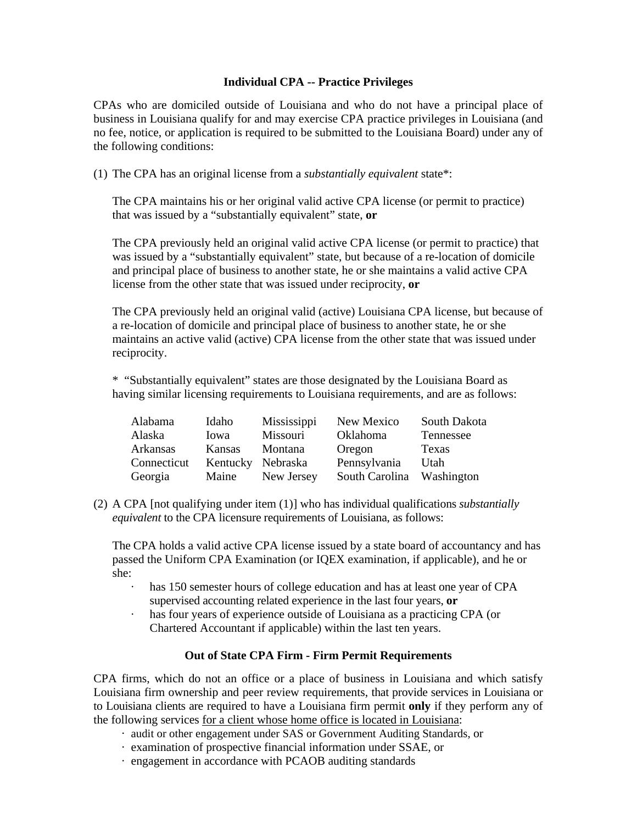## **Individual CPA -- Practice Privileges**

CPAs who are domiciled outside of Louisiana and who do not have a principal place of business in Louisiana qualify for and may exercise CPA practice privileges in Louisiana (and no fee, notice, or application is required to be submitted to the Louisiana Board) under any of the following conditions:

(1) The CPA has an original license from a *substantially equivalent* state\*:

The CPA maintains his or her original valid active CPA license (or permit to practice) that was issued by a "substantially equivalent" state, **or**

The CPA previously held an original valid active CPA license (or permit to practice) that was issued by a "substantially equivalent" state, but because of a re-location of domicile and principal place of business to another state, he or she maintains a valid active CPA license from the other state that was issued under reciprocity, **or** 

The CPA previously held an original valid (active) Louisiana CPA license, but because of a re-location of domicile and principal place of business to another state, he or she maintains an active valid (active) CPA license from the other state that was issued under reciprocity.

\* "Substantially equivalent" states are those designated by the Louisiana Board as having similar licensing requirements to Louisiana requirements, and are as follows:

| Alabama         | Idaho             | Mississippi | New Mexico      | South Dakota |
|-----------------|-------------------|-------------|-----------------|--------------|
| Alaska          | Iowa              | Missouri    | <b>Oklahoma</b> | Tennessee    |
| <b>Arkansas</b> | Kansas            | Montana     | Oregon          | Texas        |
| Connecticut     | Kentucky Nebraska |             | Pennsylvania    | Utah         |
| Georgia         | Maine             | New Jersey  | South Carolina  | Washington   |

(2) A CPA [not qualifying under item (1)] who has individual qualifications *substantially equivalent* to the CPA licensure requirements of Louisiana, as follows:

The CPA holds a valid active CPA license issued by a state board of accountancy and has passed the Uniform CPA Examination (or IQEX examination, if applicable), and he or she:

- · has 150 semester hours of college education and has at least one year of CPA supervised accounting related experience in the last four years, **or**
- · has four years of experience outside of Louisiana as a practicing CPA (or Chartered Accountant if applicable) within the last ten years.

# **Out of State CPA Firm - Firm Permit Requirements**

CPA firms, which do not an office or a place of business in Louisiana and which satisfy Louisiana firm ownership and peer review requirements, that provide services in Louisiana or to Louisiana clients are required to have a Louisiana firm permit **only** if they perform any of the following services for a client whose home office is located in Louisiana:

- · audit or other engagement under SAS or Government Auditing Standards, or
- · examination of prospective financial information under SSAE, or
- · engagement in accordance with PCAOB auditing standards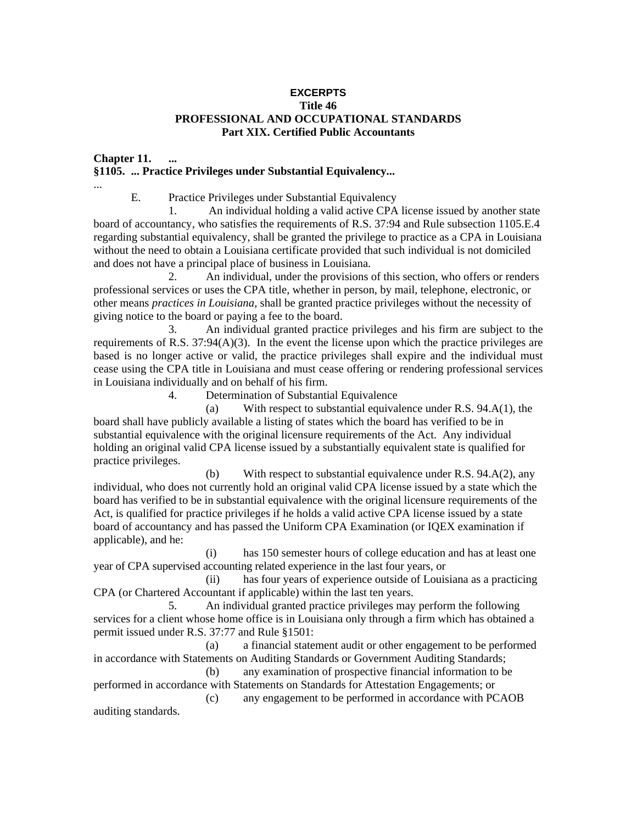### **EXCERPTS Title 46 PROFESSIONAL AND OCCUPATIONAL STANDARDS Part XIX. Certified Public Accountants**

## **Chapter 11. ... §1105. ... Practice Privileges under Substantial Equivalency...**

...

E. Practice Privileges under Substantial Equivalency

 1. An individual holding a valid active CPA license issued by another state board of accountancy, who satisfies the requirements of R.S. 37:94 and Rule subsection 1105.E.4 regarding substantial equivalency, shall be granted the privilege to practice as a CPA in Louisiana without the need to obtain a Louisiana certificate provided that such individual is not domiciled and does not have a principal place of business in Louisiana.

 2. An individual, under the provisions of this section, who offers or renders professional services or uses the CPA title, whether in person, by mail, telephone, electronic, or other means *practices in Louisiana,* shall be granted practice privileges without the necessity of giving notice to the board or paying a fee to the board.

3. An individual granted practice privileges and his firm are subject to the requirements of R.S.  $37:94(A)(3)$ . In the event the license upon which the practice privileges are based is no longer active or valid, the practice privileges shall expire and the individual must cease using the CPA title in Louisiana and must cease offering or rendering professional services in Louisiana individually and on behalf of his firm.

4. Determination of Substantial Equivalence

 (a) With respect to substantial equivalence under R.S. 94.A(1), the board shall have publicly available a listing of states which the board has verified to be in substantial equivalence with the original licensure requirements of the Act. Any individual holding an original valid CPA license issued by a substantially equivalent state is qualified for practice privileges.

 (b) With respect to substantial equivalence under R.S. 94.A(2), any individual, who does not currently hold an original valid CPA license issued by a state which the board has verified to be in substantial equivalence with the original licensure requirements of the Act, is qualified for practice privileges if he holds a valid active CPA license issued by a state board of accountancy and has passed the Uniform CPA Examination (or IQEX examination if applicable), and he:

 (i) has 150 semester hours of college education and has at least one year of CPA supervised accounting related experience in the last four years, or

 (ii) has four years of experience outside of Louisiana as a practicing CPA (or Chartered Accountant if applicable) within the last ten years.

 5. An individual granted practice privileges may perform the following services for a client whose home office is in Louisiana only through a firm which has obtained a permit issued under R.S. 37:77 and Rule §1501:

 (a) a financial statement audit or other engagement to be performed in accordance with Statements on Auditing Standards or Government Auditing Standards;

 (b) any examination of prospective financial information to be performed in accordance with Statements on Standards for Attestation Engagements; or (c) any engagement to be performed in accordance with PCAOB

auditing standards.